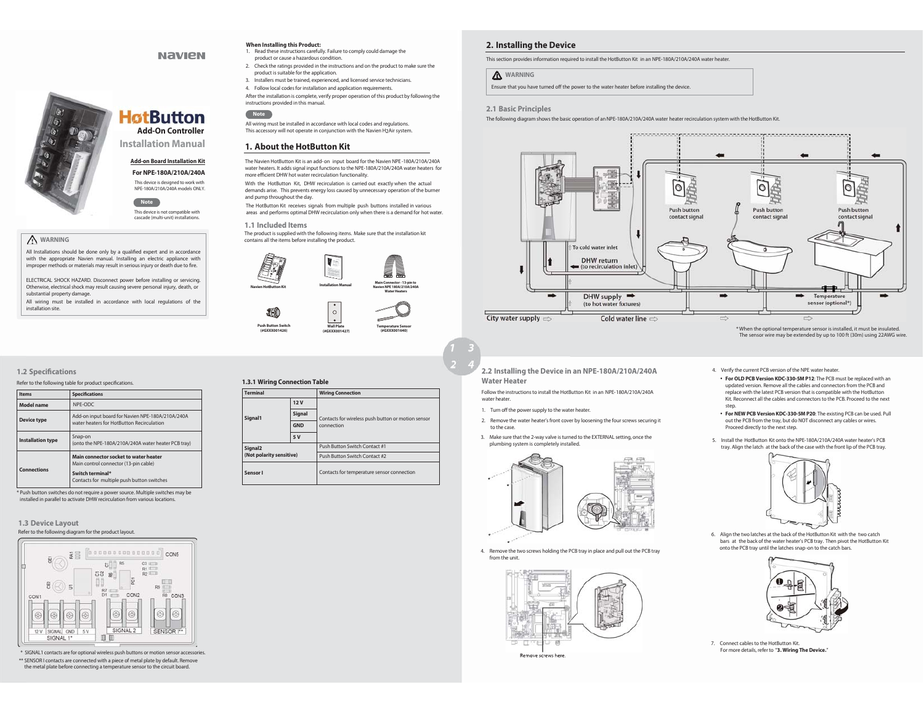## **When Installing this Product:**

- 1. Read these instructions carefully. Failure to comply could damage the product or cause a hazardous condition.
- 
- 2. Check the ratings provided in the instructions and on the product to make sure the product is suitable for the application.
- 3. Installers must be trained, experienced, and licensed service technicians.
- 4. Follow local codes for installation and application requirements.
- After the installation is complete, verify proper operation of this product by following the Fire the installation is complete, verifications provided in this manual.
- **Note**

All wiring must be installed in accordance with local codes and regulations. This accessory will not operate in conjunction with the Navien H2Air system.

## **1. About the HotButton Kit**

The Navien HotButton Kit is an add- on input board for the Navien NPE -180A/210A/240A water heaters. It adds signal input functions to the NPE-180A/210A/240A water heaters for more efficient DHW hot water recirculation functionality.

With the HotButton Kit, DHW recirculation is carried out exactly when the actual demands arise. This prevents energy loss caused by unnecessary operation of the burner and pump throughout the day.

The HotButton Kit receives signals from multiple push buttons installed in various areas and performs optimal DHW recirculation only when there is a demand for hot water.

**1.1 Included Items** The product is supplied with the following items. Make sure that the installation kit

contains all the items before installing the product.







**2.2 Installing the Device in an NPE-180A/210A/240A** 

**Water Heater** 

water heater.

- 
- to the case.
- plumbing system is completely installed. .





Remove screws here

## **2. Installing the Device**

This section provides information required to install the HotButton Kit in an NPE-180A/210A/240A water heater.

#### **WARNING**

Ensure that you have turned off the power to the water heater before installing the device.

#### **2.1 Basic Principles**

The following diagram shows the basic operation of an NPE-180A/210A/240A water heater recirculation system with the HotButton Kit.



When the optional temperature sensor is installed, it must be insulated. The sensor wire may be extended by up to 100 ft (30m) using 22AWG wire.

- **For OLD PCB Version KDC-330-5M P12**: The PCB must be replaced with an updated version. Remove all the cables and connectors from the PCB and replace with the latest PCB version that is compatible with the HotButton Kit. Reconnect all the cables and connectors to the PCB. Proceed to the next

- **For NEW PCB Version KDC-330-5M P20**: The existing PCB can be used. Pull out the PCB from the tray, but do NOT disconnect any cables or wires.

5. Install the HotButton Kit onto the NPE-180A/210A/240A water heater's PCB tray. Align the latch at the back of the case with the front lip of the PCB tray.

4. Verify the current PCB version of the NPE water heater.

Proceed directly to the next step.

#### **1.2 Specifications**

 **WARNING** 

 $\begin{array}{c} \boxed{0} \\ \boxed{0} \\ \boxed{0} \end{array}$ 

substantial property damage.

installation site.

Refer to the following table for product specifications.

| <b>Items</b>             | <b>Specifications</b>                                                                         |
|--------------------------|-----------------------------------------------------------------------------------------------|
| Model name               | NPF-ODC                                                                                       |
| <b>Device type</b>       | Add-on input board for Navien NPE-180A/210A/240A<br>water heaters for HotButton Recirculation |
| <b>Installation type</b> | Snap-on<br>(onto the NPE-180A/210A/240A water heater PCB tray)                                |
| <b>Connections</b>       | Main connector socket to water heater<br>Main control connector (13-pin cable)                |
|                          | Switch terminal*<br>Contacts for multiple push button switches                                |

All Installations should be done only by a qualified expert and in accordance with the appropriate Navien manual. Installing an electric appliance with improper methods or materials may result in serious injury or death due to fire. ELECTRICAL SHOCK HAZARD. Disconnect power before installing or servicing. Otherwise, electrical shock may result causing severe personal injury, death, or

All wiring must be installed in accordance with local regulations of the

**Installation Manual Add-on Board Installation Kit For NPE-180A/210A/240A**  This device is designed to work with NPE-180A/210A/240A models ONLY.

**HotButton** 

**Add-On Controller**

**NAVIEN** 

This device is not compatible with cascade (multi-unit) installations. **Note**

**Note**

\* Push button switches do not require a power source. Multiple switches may be installed in parallel to activate DHW recirculation from various locations.

#### **1.3 Device Layout**  Refer to the following diagram for the product layout.



\* SIGNAL1 contacts are for optional wireless push buttons or motion sensor accessories. \*\* SENSOR I contacts are connected with a piece of metal plate by default. Remove the metal plate before connecting a temperature sensor to the circuit board.

# **1.3.1 Wiring Connection Table Terminal Wiring Connection**

**Push Button Switch (#GXXX001426)** 

|                                                 | 12V        |                                                    |
|-------------------------------------------------|------------|----------------------------------------------------|
| Signal1                                         | Signal     | Contacts for wireless push button or motion sensor |
|                                                 | <b>GND</b> | connection                                         |
|                                                 | 5V         |                                                    |
| Signal <sub>2</sub><br>(Not polarity sensitive) |            | Push Button Switch Contact #1                      |
|                                                 |            | Push Button Switch Contact #2                      |
| Sensor I                                        |            | Contacts for temperature sensor connection         |



- 1. Turn off the power supply to the water heater.
- 2. Remove the water heater's front cover by loosening the four screws securing it
- 3. Make sure that the 2-way valve is turned to the EXTERNAL setting, once the



4. Remove the two screws holding the PCB tray in place and pull out the PCB tray from the unit.



step



6. Align the two latches at the back of the HotButton Kit with the two catch bars at the back of the water heater's PCB tray. Then pivot the HotButton Kit onto the PCB tray until the latches snap-on to the catch bars.

7. Connect cables to the HotButton Kit.For more details, refer to "**3. Wiring The Device.**"